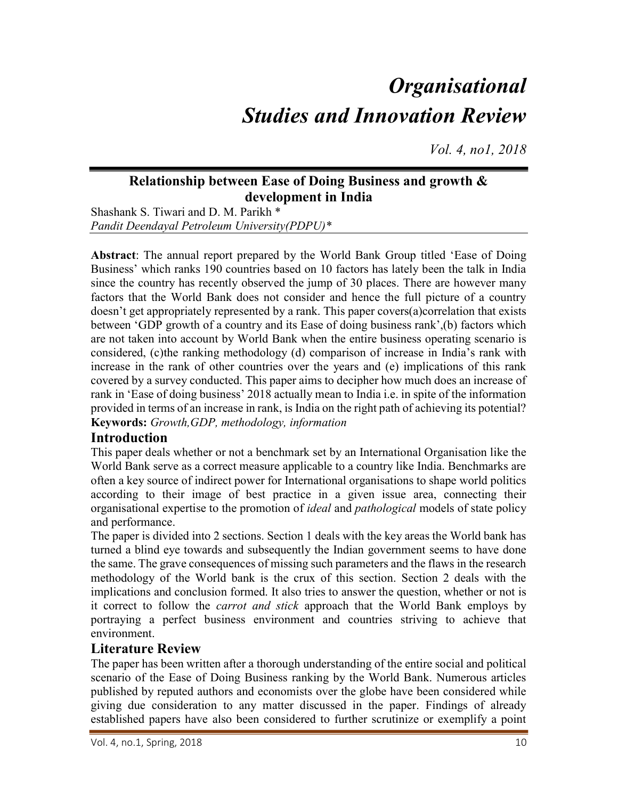# **Organisational** Studies and Innovation Review

Vol. 4, no1, 2018

## Relationship between Ease of Doing Business and growth & development in India

Shashank S. Tiwari and D. M. Parikh \* Pandit Deendayal Petroleum University(PDPU)\*

Abstract: The annual report prepared by the World Bank Group titled 'Ease of Doing Business' which ranks 190 countries based on 10 factors has lately been the talk in India since the country has recently observed the jump of 30 places. There are however many factors that the World Bank does not consider and hence the full picture of a country doesn't get appropriately represented by a rank. This paper covers(a)correlation that exists between 'GDP growth of a country and its Ease of doing business rank',(b) factors which are not taken into account by World Bank when the entire business operating scenario is considered, (c)the ranking methodology (d) comparison of increase in India's rank with increase in the rank of other countries over the years and (e) implications of this rank covered by a survey conducted. This paper aims to decipher how much does an increase of rank in 'Ease of doing business' 2018 actually mean to India i.e. in spite of the information provided in terms of an increase in rank, is India on the right path of achieving its potential? Keywords: Growth,GDP, methodology, information

## Introduction

This paper deals whether or not a benchmark set by an International Organisation like the World Bank serve as a correct measure applicable to a country like India. Benchmarks are often a key source of indirect power for International organisations to shape world politics according to their image of best practice in a given issue area, connecting their organisational expertise to the promotion of ideal and pathological models of state policy and performance.

The paper is divided into 2 sections. Section 1 deals with the key areas the World bank has turned a blind eye towards and subsequently the Indian government seems to have done the same. The grave consequences of missing such parameters and the flaws in the research methodology of the World bank is the crux of this section. Section 2 deals with the implications and conclusion formed. It also tries to answer the question, whether or not is it correct to follow the carrot and stick approach that the World Bank employs by portraying a perfect business environment and countries striving to achieve that environment.

## Literature Review

The paper has been written after a thorough understanding of the entire social and political scenario of the Ease of Doing Business ranking by the World Bank. Numerous articles published by reputed authors and economists over the globe have been considered while giving due consideration to any matter discussed in the paper. Findings of already established papers have also been considered to further scrutinize or exemplify a point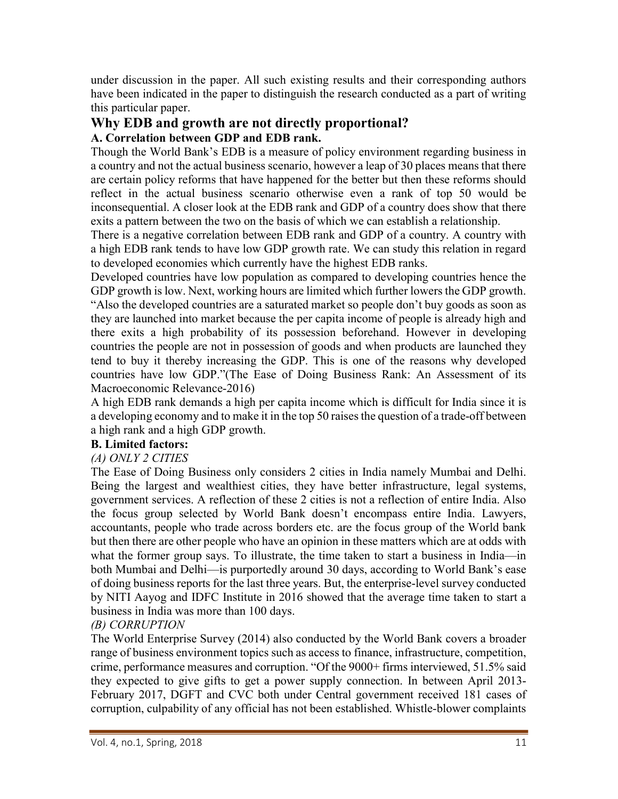under discussion in the paper. All such existing results and their corresponding authors have been indicated in the paper to distinguish the research conducted as a part of writing this particular paper.

# Why EDB and growth are not directly proportional?

## A. Correlation between GDP and EDB rank.

Though the World Bank's EDB is a measure of policy environment regarding business in a country and not the actual business scenario, however a leap of 30 places means that there are certain policy reforms that have happened for the better but then these reforms should reflect in the actual business scenario otherwise even a rank of top 50 would be inconsequential. A closer look at the EDB rank and GDP of a country does show that there exits a pattern between the two on the basis of which we can establish a relationship.

There is a negative correlation between EDB rank and GDP of a country. A country with a high EDB rank tends to have low GDP growth rate. We can study this relation in regard to developed economies which currently have the highest EDB ranks.

Developed countries have low population as compared to developing countries hence the GDP growth is low. Next, working hours are limited which further lowers the GDP growth. "Also the developed countries are a saturated market so people don't buy goods as soon as they are launched into market because the per capita income of people is already high and there exits a high probability of its possession beforehand. However in developing countries the people are not in possession of goods and when products are launched they tend to buy it thereby increasing the GDP. This is one of the reasons why developed countries have low GDP."(The Ease of Doing Business Rank: An Assessment of its Macroeconomic Relevance-2016)

A high EDB rank demands a high per capita income which is difficult for India since it is a developing economy and to make it in the top 50 raises the question of a trade-off between a high rank and a high GDP growth.

## B. Limited factors:

## (A) ONLY 2 CITIES

The Ease of Doing Business only considers 2 cities in India namely Mumbai and Delhi. Being the largest and wealthiest cities, they have better infrastructure, legal systems, government services. A reflection of these 2 cities is not a reflection of entire India. Also the focus group selected by World Bank doesn't encompass entire India. Lawyers, accountants, people who trade across borders etc. are the focus group of the World bank but then there are other people who have an opinion in these matters which are at odds with what the former group says. To illustrate, the time taken to start a business in India—in both Mumbai and Delhi—is purportedly around 30 days, according to World Bank's ease of doing business reports for the last three years. But, the enterprise-level survey conducted by NITI Aayog and IDFC Institute in 2016 showed that the average time taken to start a business in India was more than 100 days.

## (B) CORRUPTION

The World Enterprise Survey (2014) also conducted by the World Bank covers a broader range of business environment topics such as access to finance, infrastructure, competition, crime, performance measures and corruption. "Of the 9000+ firms interviewed, 51.5% said they expected to give gifts to get a power supply connection. In between April 2013- February 2017, DGFT and CVC both under Central government received 181 cases of corruption, culpability of any official has not been established. Whistle-blower complaints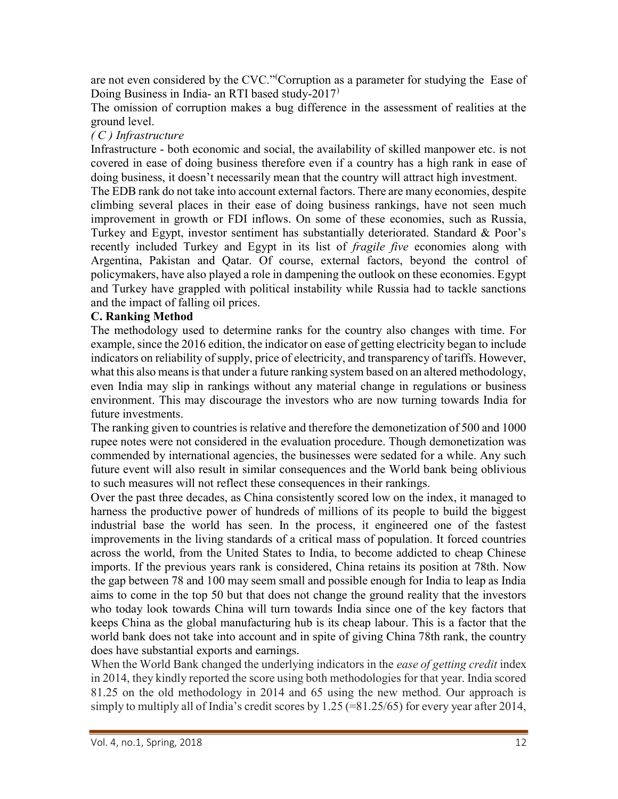are not even considered by the CVC."(Corruption as a parameter for studying the Ease of Doing Business in India- an RTI based study-2017)

The omission of corruption makes a bug difference in the assessment of realities at the ground level.

#### ( C ) Infrastructure

Infrastructure - both economic and social, the availability of skilled manpower etc. is not covered in ease of doing business therefore even if a country has a high rank in ease of doing business, it doesn't necessarily mean that the country will attract high investment.

The EDB rank do not take into account external factors. There are many economies, despite climbing several places in their ease of doing business rankings, have not seen much improvement in growth or FDI inflows. On some of these economies, such as Russia, Turkey and Egypt, investor sentiment has substantially deteriorated. Standard & Poor's recently included Turkey and Egypt in its list of *fragile five* economies along with Argentina, Pakistan and Qatar. Of course, external factors, beyond the control of policymakers, have also played a role in dampening the outlook on these economies. Egypt and Turkey have grappled with political instability while Russia had to tackle sanctions and the impact of falling oil prices.

#### C. Ranking Method

The methodology used to determine ranks for the country also changes with time. For example, since the 2016 edition, the indicator on ease of getting electricity began to include indicators on reliability of supply, price of electricity, and transparency of tariffs. However, what this also means is that under a future ranking system based on an altered methodology, even India may slip in rankings without any material change in regulations or business environment. This may discourage the investors who are now turning towards India for future investments.

The ranking given to countries is relative and therefore the demonetization of 500 and 1000 rupee notes were not considered in the evaluation procedure. Though demonetization was commended by international agencies, the businesses were sedated for a while. Any such future event will also result in similar consequences and the World bank being oblivious to such measures will not reflect these consequences in their rankings.

Over the past three decades, as China consistently scored low on the index, it managed to harness the productive power of hundreds of millions of its people to build the biggest industrial base the world has seen. In the process, it engineered one of the fastest improvements in the living standards of a critical mass of population. It forced countries across the world, from the United States to India, to become addicted to cheap Chinese imports. If the previous years rank is considered, China retains its position at 78th. Now the gap between 78 and 100 may seem small and possible enough for India to leap as India aims to come in the top 50 but that does not change the ground reality that the investors who today look towards China will turn towards India since one of the key factors that keeps China as the global manufacturing hub is its cheap labour. This is a factor that the world bank does not take into account and in spite of giving China 78th rank, the country does have substantial exports and earnings.

When the World Bank changed the underlying indicators in the *ease of getting credit* index in 2014, they kindly reported the score using both methodologies for that year. India scored 81.25 on the old methodology in 2014 and 65 using the new method. Our approach is simply to multiply all of India's credit scores by 1.25 (=81.25/65) for every year after 2014,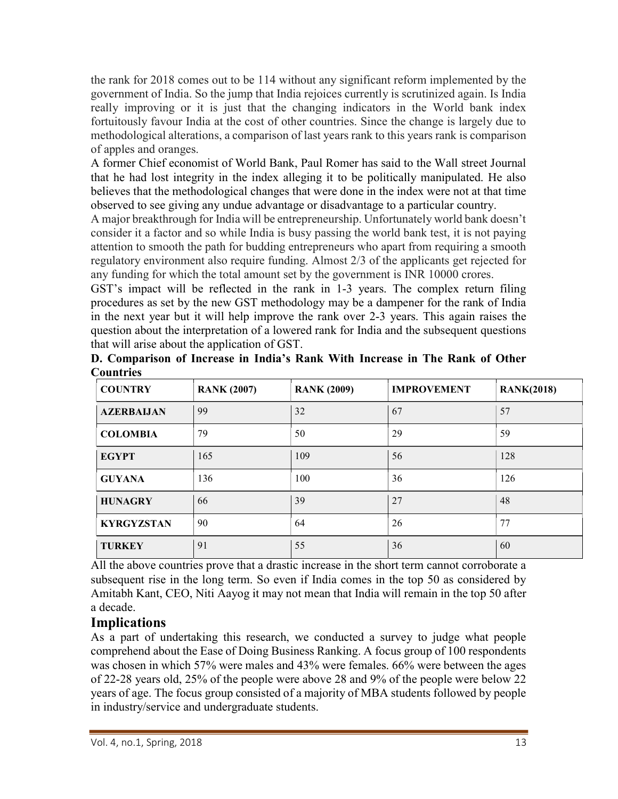the rank for 2018 comes out to be 114 without any significant reform implemented by the government of India. So the jump that India rejoices currently is scrutinized again. Is India really improving or it is just that the changing indicators in the World bank index fortuitously favour India at the cost of other countries. Since the change is largely due to methodological alterations, a comparison of last years rank to this years rank is comparison of apples and oranges.

A former Chief economist of World Bank, Paul Romer has said to the Wall street Journal that he had lost integrity in the index alleging it to be politically manipulated. He also believes that the methodological changes that were done in the index were not at that time observed to see giving any undue advantage or disadvantage to a particular country.

A major breakthrough for India will be entrepreneurship. Unfortunately world bank doesn't consider it a factor and so while India is busy passing the world bank test, it is not paying attention to smooth the path for budding entrepreneurs who apart from requiring a smooth regulatory environment also require funding. Almost 2/3 of the applicants get rejected for any funding for which the total amount set by the government is INR 10000 crores.

GST's impact will be reflected in the rank in 1-3 years. The complex return filing procedures as set by the new GST methodology may be a dampener for the rank of India in the next year but it will help improve the rank over 2-3 years. This again raises the question about the interpretation of a lowered rank for India and the subsequent questions that will arise about the application of GST.

| Countries         |                    |                    |                    |                   |
|-------------------|--------------------|--------------------|--------------------|-------------------|
| <b>COUNTRY</b>    | <b>RANK (2007)</b> | <b>RANK (2009)</b> | <b>IMPROVEMENT</b> | <b>RANK(2018)</b> |
| <b>AZERBAIJAN</b> | 99                 | 32                 | 67                 | 57                |
| <b>COLOMBIA</b>   | 79                 | 50                 | 29                 | 59                |
| <b>EGYPT</b>      | 165                | 109                | 56                 | 128               |
| <b>GUYANA</b>     | 136                | 100                | 36                 | 126               |
| <b>HUNAGRY</b>    | 66                 | 39                 | 27                 | 48                |
| <b>KYRGYZSTAN</b> | 90                 | 64                 | 26                 | 77                |
| <b>TURKEY</b>     | 91                 | 55                 | 36                 | 60                |

D. Comparison of Increase in India's Rank With Increase in The Rank of Other Countries

All the above countries prove that a drastic increase in the short term cannot corroborate a subsequent rise in the long term. So even if India comes in the top 50 as considered by Amitabh Kant, CEO, Niti Aayog it may not mean that India will remain in the top 50 after a decade.

# Implications

As a part of undertaking this research, we conducted a survey to judge what people comprehend about the Ease of Doing Business Ranking. A focus group of 100 respondents was chosen in which 57% were males and 43% were females. 66% were between the ages of 22-28 years old, 25% of the people were above 28 and 9% of the people were below 22 years of age. The focus group consisted of a majority of MBA students followed by people in industry/service and undergraduate students.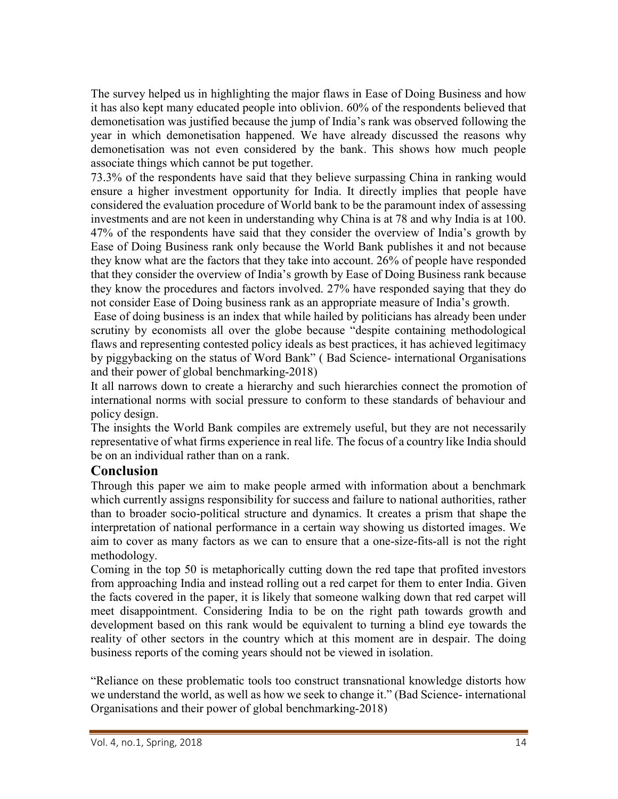The survey helped us in highlighting the major flaws in Ease of Doing Business and how it has also kept many educated people into oblivion. 60% of the respondents believed that demonetisation was justified because the jump of India's rank was observed following the year in which demonetisation happened. We have already discussed the reasons why demonetisation was not even considered by the bank. This shows how much people associate things which cannot be put together.

73.3% of the respondents have said that they believe surpassing China in ranking would ensure a higher investment opportunity for India. It directly implies that people have considered the evaluation procedure of World bank to be the paramount index of assessing investments and are not keen in understanding why China is at 78 and why India is at 100. 47% of the respondents have said that they consider the overview of India's growth by Ease of Doing Business rank only because the World Bank publishes it and not because they know what are the factors that they take into account. 26% of people have responded that they consider the overview of India's growth by Ease of Doing Business rank because they know the procedures and factors involved. 27% have responded saying that they do not consider Ease of Doing business rank as an appropriate measure of India's growth.

 Ease of doing business is an index that while hailed by politicians has already been under scrutiny by economists all over the globe because "despite containing methodological flaws and representing contested policy ideals as best practices, it has achieved legitimacy by piggybacking on the status of Word Bank" ( Bad Science- international Organisations and their power of global benchmarking-2018)

It all narrows down to create a hierarchy and such hierarchies connect the promotion of international norms with social pressure to conform to these standards of behaviour and policy design.

The insights the World Bank compiles are extremely useful, but they are not necessarily representative of what firms experience in real life. The focus of a country like India should be on an individual rather than on a rank.

#### Conclusion

Through this paper we aim to make people armed with information about a benchmark which currently assigns responsibility for success and failure to national authorities, rather than to broader socio-political structure and dynamics. It creates a prism that shape the interpretation of national performance in a certain way showing us distorted images. We aim to cover as many factors as we can to ensure that a one-size-fits-all is not the right methodology.

Coming in the top 50 is metaphorically cutting down the red tape that profited investors from approaching India and instead rolling out a red carpet for them to enter India. Given the facts covered in the paper, it is likely that someone walking down that red carpet will meet disappointment. Considering India to be on the right path towards growth and development based on this rank would be equivalent to turning a blind eye towards the reality of other sectors in the country which at this moment are in despair. The doing business reports of the coming years should not be viewed in isolation.

"Reliance on these problematic tools too construct transnational knowledge distorts how we understand the world, as well as how we seek to change it." (Bad Science- international Organisations and their power of global benchmarking-2018)